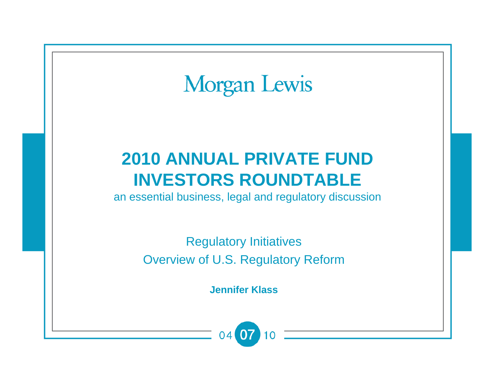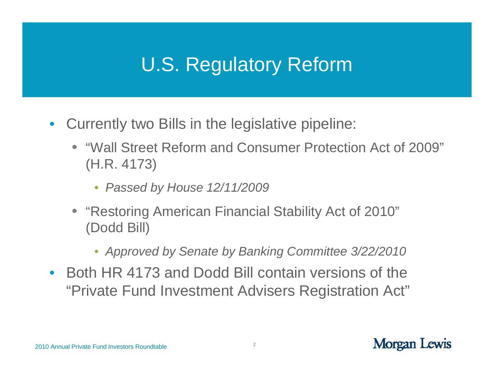### U.S. Regulatory Reform

- $\bullet$  Currently two Bills in the legislative pipeline:
	- "Wall Street Reform and Consumer Protection Act of 2009" (H.R. 4173)
		- *Passed by House 12/11/2009*
	- "Restoring American Financial Stability Act of 2010" (Dodd Bill)
		- *Approved by Senate by Banking Committee 3/22/2010*
- Both HR 4173 and Dodd Bill contain versions of the "Private Fund Investment Advisers Registration Act"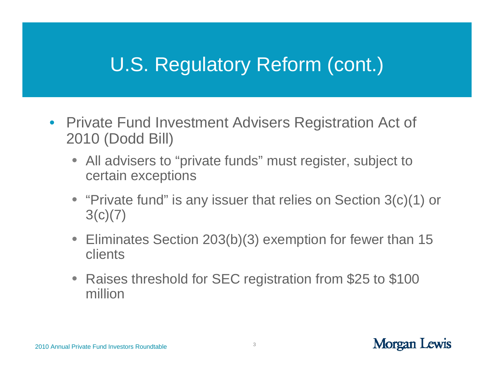- Private Fund Investment Advisers Registration Act of 2010 (Dodd Bill)
	- All advisers to "private funds" must register, subject to certain exceptions
	- "Private fund" is any issuer that relies on Section 3(c)(1) or  $3(c)(7)$
	- Eliminates Section 203(b)(3) exemption for fewer than 15 clients
	- Raises threshold for SEC registration from \$25 to \$100 million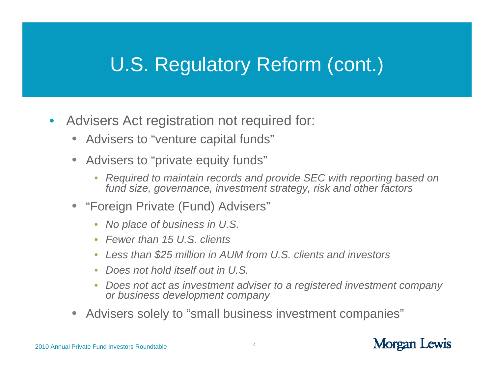- $\bullet$  Advisers Act registration not required for:
	- Advisers to "venture capital funds"
	- • Advisers to "private equity funds"
		- $\bullet$  *Required to maintain records and provide SEC with reporting based on fund size, governance, investment strategy, risk and other factors*
	- "Foreign Private (Fund) Advisers"
		- *No place of business in U.S.*
		- *Fewer than 15 U.S. clients*
		- •*Less than \$25 million in AUM from U.S. clients and investors*
		- •*Does not hold itself out in U.S.*
		- $\bullet$  *Does not act as investment adviser to a registered investment company or business development company*
	- Advisers solely to "small business investment companies"

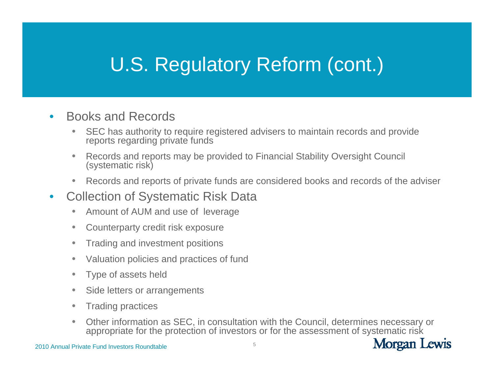- $\bullet$  Books and Records
	- • SEC has authority to require registered advisers to maintain records and provide reports regarding private funds
	- $\bullet$  Records and reports may be provided to Financial Stability Oversight Council (systematic risk)
	- •Records and reports of private funds are considered books and records of the adviser
- $\bullet$  Collection of Systematic Risk Data
	- •Amount of AUM and use of leverage
	- $\bullet$ Counterparty credit risk exposure
	- $\bullet$ Trading and investment positions
	- $\bullet$ Valuation policies and practices of fund
	- $\bullet$ Type of assets held
	- $\bullet$ Side letters or arrangements
	- $\bullet$ Trading practices
	- • Other information as SEC, in consultation with the Council, determines necessary or appropriate for the protection of investors or for the assessment of systematic risk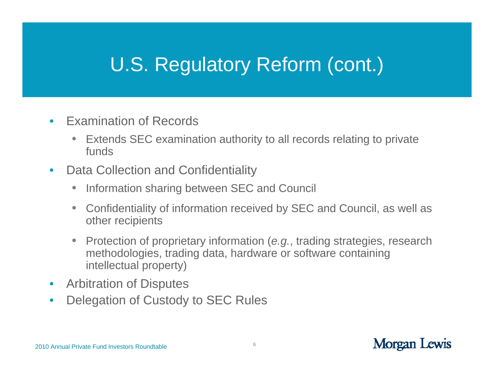- • Examination of Records
	- • Extends SEC examination authority to all records relating to private funds
- $\bullet$  Data Collection and Confidentiality
	- $\bullet$ Information sharing between SEC and Council
	- Confidentiality of information received by SEC and Council, as well as other recipients
	- • Protection of proprietary information (*e.g.*, trading strategies, research methodologies, trading data, hardware or software containing intellectual property)
- $\bullet$ Arbitration of Disputes
- $\bullet$ Delegation of Custody to SEC Rules